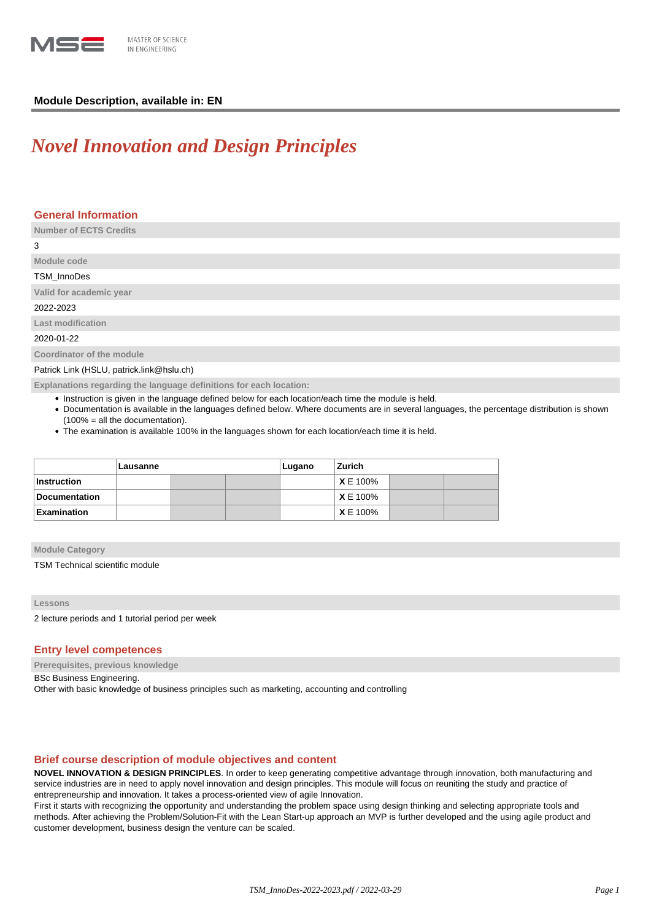

## **Module Description, available in: EN**

# *Novel Innovation and Design Principles*

| <b>General Information</b>                                         |
|--------------------------------------------------------------------|
| <b>Number of ECTS Credits</b>                                      |
| 3                                                                  |
| Module code                                                        |
| TSM_InnoDes                                                        |
| Valid for academic year                                            |
| 2022-2023                                                          |
| <b>Last modification</b>                                           |
| 2020-01-22                                                         |
| Coordinator of the module                                          |
| Patrick Link (HSLU, patrick.link@hslu.ch)                          |
| Explanations regarding the language definitions for each location: |

• Instruction is given in the language defined below for each location/each time the module is held.

- Documentation is available in the languages defined below. Where documents are in several languages, the percentage distribution is shown (100% = all the documentation).
- The examination is available 100% in the languages shown for each location/each time it is held.

|                      | Lausanne |  |  | Lugano | Zurich         |  |  |
|----------------------|----------|--|--|--------|----------------|--|--|
| <b>Instruction</b>   |          |  |  |        | XE 100%        |  |  |
| <b>Documentation</b> |          |  |  |        | XE 100%        |  |  |
| <b>Examination</b>   |          |  |  |        | <b>XE 100%</b> |  |  |

**Module Category**

TSM Technical scientific module

**Lessons**

2 lecture periods and 1 tutorial period per week

#### **Entry level competences**

**Prerequisites, previous knowledge**

BSc Business Engineering.

Other with basic knowledge of business principles such as marketing, accounting and controlling

### **Brief course description of module objectives and content**

**NOVEL INNOVATION & DESIGN PRINCIPLES**. In order to keep generating competitive advantage through innovation, both manufacturing and service industries are in need to apply novel innovation and design principles. This module will focus on reuniting the study and practice of entrepreneurship and innovation. It takes a process-oriented view of agile Innovation.

First it starts with recognizing the opportunity and understanding the problem space using design thinking and selecting appropriate tools and methods. After achieving the Problem/Solution-Fit with the Lean Start-up approach an MVP is further developed and the using agile product and customer development, business design the venture can be scaled.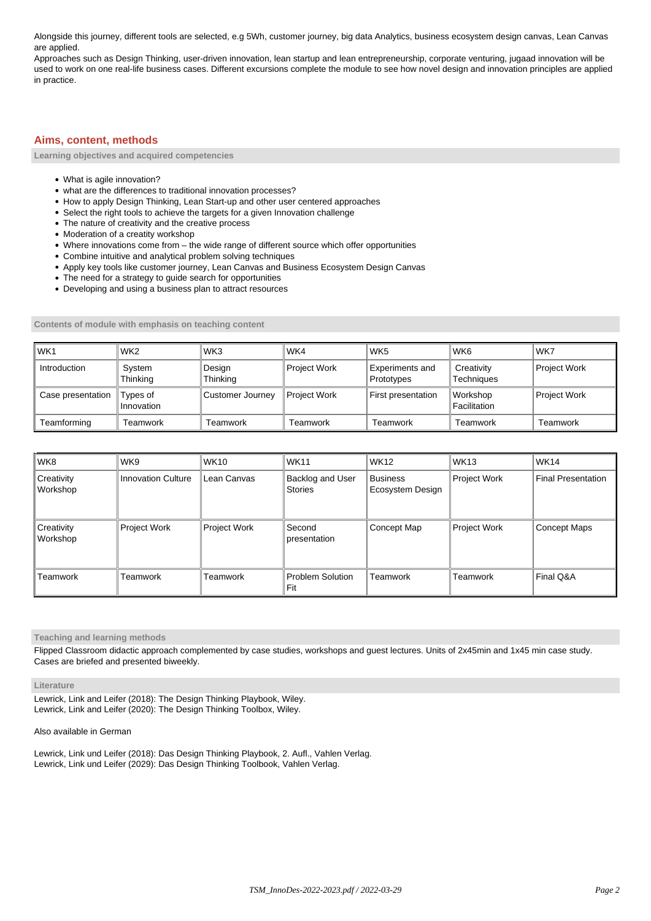Alongside this journey, different tools are selected, e.g 5Wh, customer journey, big data Analytics, business ecosystem design canvas, Lean Canvas are applied.

Approaches such as Design Thinking, user-driven innovation, lean startup and lean entrepreneurship, corporate venturing, jugaad innovation will be used to work on one real-life business cases. Different excursions complete the module to see how novel design and innovation principles are applied in practice.

# **Aims, content, methods**

**Learning objectives and acquired competencies**

- What is agile innovation?
- what are the differences to traditional innovation processes?
- How to apply Design Thinking, Lean Start-up and other user centered approaches
- Select the right tools to achieve the targets for a given Innovation challenge
- The nature of creativity and the creative process
- Moderation of a creatity workshop
- Where innovations come from the wide range of different source which offer opportunities
- Combine intuitive and analytical problem solving techniques
- Apply key tools like customer journey, Lean Canvas and Business Ecosystem Design Canvas
- The need for a strategy to guide search for opportunities
- Developing and using a business plan to attract resources

**Contents of module with emphasis on teaching content**

| WK <sub>1</sub>          | WK <sub>2</sub>        | WK3                | WK4          | WK <sub>5</sub>                      | WK <sub>6</sub>                 | WK7                 |
|--------------------------|------------------------|--------------------|--------------|--------------------------------------|---------------------------------|---------------------|
| I Introduction           | System<br>Thinkina     | Design<br>Thinking | Project Work | <b>Experiments and</b><br>Prototypes | Creativity<br><b>Techniques</b> | Project Work        |
| <b>Case presentation</b> | Types of<br>Innovation | Customer Journey   | Project Work | First presentation                   | Workshop<br>Facilitation        | <b>Project Work</b> |
| Teamforming              | Teamwork               | Teamwork           | Teamwork     | Teamwork                             | Teamwork                        | Teamwork            |

| l wk8                                | WK9                       | <b>WK10</b>  | <b>WK11</b>                        | <b>WK12</b>                         | <b>WK13</b>         | <b>WK14</b>               |
|--------------------------------------|---------------------------|--------------|------------------------------------|-------------------------------------|---------------------|---------------------------|
| <b>Creativity</b><br><b>Workshop</b> | <b>Innovation Culture</b> | Lean Canvas  | Backlog and User<br><b>Stories</b> | <b>Business</b><br>Ecosystem Design | Project Work        | <b>Final Presentation</b> |
| Creativity<br><b>Workshop</b>        | Project Work              | Project Work | Second<br>presentation             | Concept Map                         | <b>Project Work</b> | Concept Maps              |
| l Teamwork                           | Teamwork                  | Teamwork     | <b>Problem Solution</b><br>Fit     | Teamwork                            | Teamwork            | Final Q&A                 |

**Teaching and learning methods**

Flipped Classroom didactic approach complemented by case studies, workshops and guest lectures. Units of 2x45min and 1x45 min case study. Cases are briefed and presented biweekly.

#### **Literature**

Lewrick, Link and Leifer (2018): The Design Thinking Playbook, Wiley. Lewrick, Link and Leifer (2020): The Design Thinking Toolbox, Wiley.

Also available in German

Lewrick, Link und Leifer (2018): Das Design Thinking Playbook, 2. Aufl., Vahlen Verlag. Lewrick, Link und Leifer (2029): Das Design Thinking Toolbook, Vahlen Verlag.